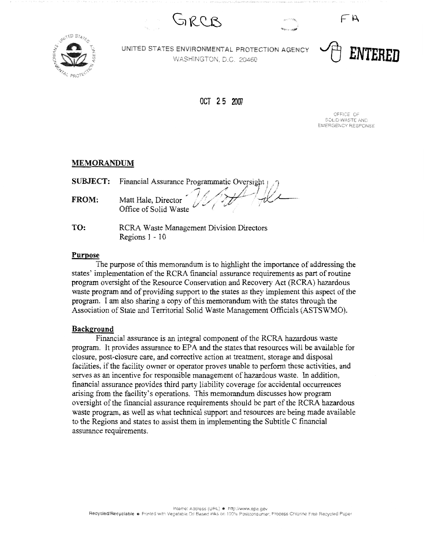GRCB





UNITED STATES ENVIRONMENTAL PROTECTION AGENCY WASHINGTON, D.C. 20460

~ **ENTERED** 

 $\subset \mathsf{A}$ 

OCT 2 5 2007

OFFICE OF **SOLID WASTE AND FMFROFNOY RESPONSE** 

## **MEMORANDUM**

|              | <b>SUBJECT:</b> Financial Assurance Programmatic Oversight $\bigcap$ |
|--------------|----------------------------------------------------------------------|
| <b>FROM:</b> | Matt Hale, Director Matt Hale, Director                              |

**TO:**  RCRA Waste Management Division Directors Regions 1 - 10

# **Purpose**

The purpose of this memorandum is to highlight the importance of addressing the states' implementation of the RCRA financial assurance requirements as part of routine program oversight of the Resource Conservation and Recovery Act (RCRA) hazardous waste program and of providing support to the states as they implement this aspect of the program. I am also sharing a copy of this memorandum with the states through the Association of State and Territorial Solid Waste Management Officials (ASTSWMO).

## **Background**

Financial assurance is an integral component of the RCRA hazardous waste program. It provides assurance to EPA and the states that resources will be available for closure, post-closure care, and corrective action at treatment, storage and disposal facilities, if the facility owner or operator proves unable to perform these activities, and serves as an incentive for responsible management of hazardous waste. In addition, financial assurance provides third party liability coverage for accidental occurrences arising from the facility's operations. This memorandum discusses how program oversight of the financial assurance requirements should be part of the RCRA hazardous waste program, as well as what technical support and resources are being made available to the Regions and states to assist them in implementing the Subtitle C financial assurance requirements.